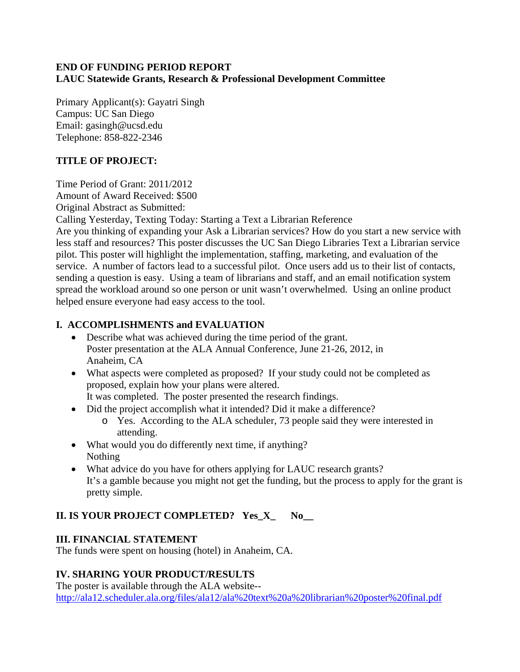#### **END OF FUNDING PERIOD REPORT LAUC Statewide Grants, Research & Professional Development Committee**

Primary Applicant(s): Gayatri Singh Campus: UC San Diego Email: gasingh@ucsd.edu Telephone: 858-822-2346

### **TITLE OF PROJECT:**

Time Period of Grant: 2011/2012

Amount of Award Received: \$500

Original Abstract as Submitted:

Calling Yesterday, Texting Today: Starting a Text a Librarian Reference

Are you thinking of expanding your Ask a Librarian services? How do you start a new service with less staff and resources? This poster discusses the UC San Diego Libraries Text a Librarian service pilot. This poster will highlight the implementation, staffing, marketing, and evaluation of the service. A number of factors lead to a successful pilot. Once users add us to their list of contacts, sending a question is easy. Using a team of librarians and staff, and an email notification system spread the workload around so one person or unit wasn't overwhelmed. Using an online product helped ensure everyone had easy access to the tool.

### **I. ACCOMPLISHMENTS and EVALUATION**

- Describe what was achieved during the time period of the grant. Poster presentation at the ALA Annual Conference, June 21-26, 2012, in Anaheim, CA
- What aspects were completed as proposed? If your study could not be completed as proposed, explain how your plans were altered. It was completed. The poster presented the research findings.
- Did the project accomplish what it intended? Did it make a difference?
	- o Yes. According to the ALA scheduler, 73 people said they were interested in attending.
- What would you do differently next time, if anything? Nothing
- What advice do you have for others applying for LAUC research grants? It's a gamble because you might not get the funding, but the process to apply for the grant is pretty simple.

# **II. IS YOUR PROJECT COMPLETED? Yes\_X\_ No\_\_**

# **III. FINANCIAL STATEMENT**

The funds were spent on housing (hotel) in Anaheim, CA.

# **IV. SHARING YOUR PRODUCT/RESULTS**

The poster is available through the ALA website- http://ala12.scheduler.ala.org/files/ala12/ala%20text%20a%20librarian%20poster%20final.pdf